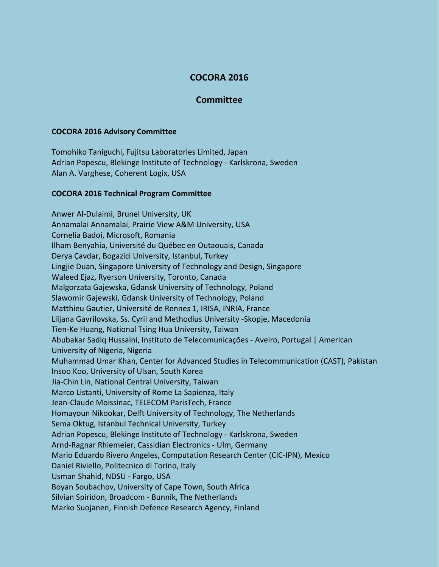## **COCORA 2016**

## **Committee**

## **COCORA 2016 Advisory Committee**

Tomohiko Taniguchi, Fujitsu Laboratories Limited, Japan Adrian Popescu, Blekinge Institute of Technology - Karlskrona, Sweden Alan A. Varghese, Coherent Logix, USA

## **COCORA 2016 Technical Program Committee**

Anwer Al-Dulaimi, Brunel University, UK Annamalai Annamalai, Prairie View A&M University, USA Cornelia Badoi, Microsoft, Romania Ilham Benyahia, Université du Québec en Outaouais, Canada Derya Çavdar, Bogazici University, Istanbul, Turkey Lingjie Duan, Singapore University of Technology and Design, Singapore Waleed Ejaz, Ryerson University, Toronto, Canada Malgorzata Gajewska, Gdansk University of Technology, Poland Slawomir Gajewski, Gdansk University of Technology, Poland Matthieu Gautier, Université de Rennes 1, IRISA, INRIA, France Liljana Gavrilovska, Ss. Cyril and Methodius University -Skopje, Macedonia Tien-Ke Huang, National Tsing Hua University, Taiwan Abubakar Sadiq Hussaini, Instituto de Telecomunicações - Aveiro, Portugal | American University of Nigeria, Nigeria Muhammad Umar Khan, Center for Advanced Studies in Telecommunication (CAST), Pakistan Insoo Koo, University of Ulsan, South Korea Jia-Chin Lin, National Central University, Taiwan Marco Listanti, University of Rome La Sapienza, Italy Jean-Claude Moissinac, TELECOM ParisTech, France Homayoun Nikookar, Delft University of Technology, The Netherlands Sema Oktug, Istanbul Technical University, Turkey Adrian Popescu, Blekinge Institute of Technology - Karlskrona, Sweden Arnd-Ragnar Rhiemeier, Cassidian Electronics - Ulm, Germany Mario Eduardo Rivero Angeles, Computation Research Center (CIC-IPN), Mexico Daniel Riviello, Politecnico di Torino, Italy Usman Shahid, NDSU - Fargo, USA Boyan Soubachov, University of Cape Town, South Africa Silvian Spiridon, Broadcom - Bunnik, The Netherlands Marko Suojanen, Finnish Defence Research Agency, Finland